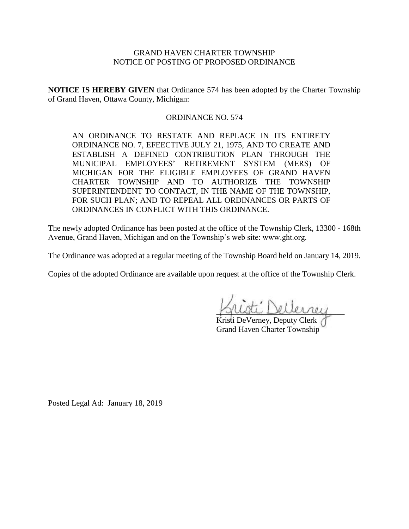## GRAND HAVEN CHARTER TOWNSHIP NOTICE OF POSTING OF PROPOSED ORDINANCE

**NOTICE IS HEREBY GIVEN** that Ordinance 574 has been adopted by the Charter Township of Grand Haven, Ottawa County, Michigan:

## ORDINANCE NO. 574

AN ORDINANCE TO RESTATE AND REPLACE IN ITS ENTIRETY ORDINANCE NO. 7, EFEECTIVE JULY 21, 1975, AND TO CREATE AND ESTABLISH A DEFINED CONTRIBUTION PLAN THROUGH THE MUNICIPAL EMPLOYEES' RETIREMENT SYSTEM (MERS) OF MICHIGAN FOR THE ELIGIBLE EMPLOYEES OF GRAND HAVEN CHARTER TOWNSHIP AND TO AUTHORIZE THE TOWNSHIP SUPERINTENDENT TO CONTACT, IN THE NAME OF THE TOWNSHIP, FOR SUCH PLAN; AND TO REPEAL ALL ORDINANCES OR PARTS OF ORDINANCES IN CONFLICT WITH THIS ORDINANCE.

The newly adopted Ordinance has been posted at the office of the Township Clerk, 13300 - 168th Avenue, Grand Haven, Michigan and on the Township's web site: www.ght.org.

The Ordinance was adopted at a regular meeting of the Township Board held on January 14, 2019.

Copies of the adopted Ordinance are available upon request at the office of the Township Clerk.

\_\_\_\_\_\_\_\_\_\_\_\_\_\_\_\_\_\_\_\_\_\_\_\_\_\_\_\_\_\_\_\_

Kristi DeVerney, Deputy Clerk Grand Haven Charter Township

Posted Legal Ad: January 18, 2019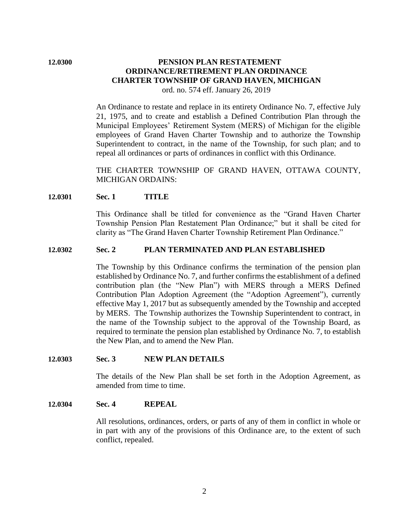# **12.0300 PENSION PLAN RESTATEMENT ORDINANCE/RETIREMENT PLAN ORDINANCE CHARTER TOWNSHIP OF GRAND HAVEN, MICHIGAN**

ord. no. 574 eff. January 26, 2019

An Ordinance to restate and replace in its entirety Ordinance No. 7, effective July 21, 1975, and to create and establish a Defined Contribution Plan through the Municipal Employees' Retirement System (MERS) of Michigan for the eligible employees of Grand Haven Charter Township and to authorize the Township Superintendent to contract, in the name of the Township, for such plan; and to repeal all ordinances or parts of ordinances in conflict with this Ordinance.

THE CHARTER TOWNSHIP OF GRAND HAVEN, OTTAWA COUNTY, MICHIGAN ORDAINS:

#### **12.0301 Sec. 1 TITLE**

This Ordinance shall be titled for convenience as the "Grand Haven Charter Township Pension Plan Restatement Plan Ordinance;" but it shall be cited for clarity as "The Grand Haven Charter Township Retirement Plan Ordinance."

#### **12.0302 Sec. 2 PLAN TERMINATED AND PLAN ESTABLISHED**

The Township by this Ordinance confirms the termination of the pension plan established by Ordinance No. 7, and further confirms the establishment of a defined contribution plan (the "New Plan") with MERS through a MERS Defined Contribution Plan Adoption Agreement (the "Adoption Agreement"), currently effective May 1, 2017 but as subsequently amended by the Township and accepted by MERS. The Township authorizes the Township Superintendent to contract, in the name of the Township subject to the approval of the Township Board, as required to terminate the pension plan established by Ordinance No. 7, to establish the New Plan, and to amend the New Plan.

#### **12.0303 Sec. 3 NEW PLAN DETAILS**

The details of the New Plan shall be set forth in the Adoption Agreement, as amended from time to time.

#### **12.0304 Sec. 4 REPEAL**

All resolutions, ordinances, orders, or parts of any of them in conflict in whole or in part with any of the provisions of this Ordinance are, to the extent of such conflict, repealed.